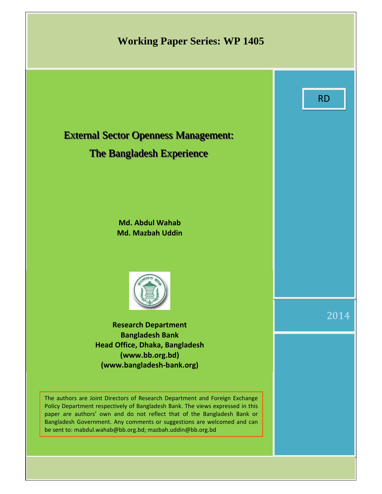# **Working Paper Series: WP 1405**



## The Bangladesh Experience

**Md. Abdul Wahab Md. Mazbah Uddin** 



**Research Department Bangladesh Bank Head Office, Dhaka, Bangladesh (www.bb.org.bd) (www.bangladesh-bank.org)** 

The authors are Joint Directors of Research Department and Foreign Exchange Policy Department respectively of Bangladesh Bank. The views expressed in this paper are authors' own and do not reflect that of the Bangladesh Bank or Bangladesh Government. Any comments or suggestions are welcomed and can be sent to: mabdul.wahab@bb.org.bd; mazbah.uddin@bb.org.bd

2014

RD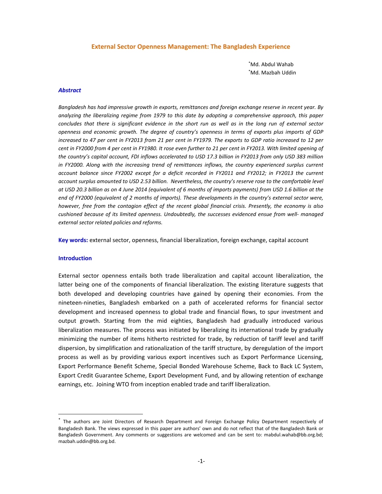#### **External Sector Openness Management: The Bangladesh Experience**

\* Md. Abdul Wahab \* Md. Mazbah Uddin

#### *Abstract*

*Bangladesh has had impressive growth in exports, remittances and foreign exchange reserve in recent year. By analyzing the liberalizing regime from 1979 to this date by adopting a comprehensive approach, this paper concludes that there is significant evidence in the short run as well as in the long run of external sector openness and economic growth. The degree of country's openness in terms of exports plus imports of GDP increased to 47 per cent in FY2013 from 21 per cent in FY1979. The exports to GDP ratio increased to 12 per*  cent in FY2000 from 4 per cent in FY1980. It rose even further to 21 per cent in FY2013. With limited opening of *the country's capital account, FDI inflows accelerated to USD 17.3 billion in FY2013 from only USD 383 million in FY2000. Along with the increasing trend of remittances inflows, the country experienced surplus current account balance since FY2002 except for a deficit recorded in FY2011 and FY2012; in FY2013 the current account surplus amounted to USD 2.53 billion. Nevertheless, the country's reserve rose to the comfortable level at USD 20.3 billion as on 4 June 2014 (equivalent of 6 months of imports payments) from USD 1.6 billion at the end of FY2000 (equivalent of 2 months of imports). These developments in the country's external sector were, however, free from the contagion effect of the recent global financial crisis. Presently, the economy is also cushioned because of its limited openness. Undoubtedly, the successes evidenced ensue from well- managed external sector related policies and reforms.* 

**Key words:** external sector, openness, financial liberalization, foreign exchange, capital account

#### **Introduction**

 $\overline{a}$ 

External sector openness entails both trade liberalization and capital account liberalization, the latter being one of the components of financial liberalization. The existing literature suggests that both developed and developing countries have gained by opening their economies. From the nineteen-nineties, Bangladesh embarked on a path of accelerated reforms for financial sector development and increased openness to global trade and financial flows, to spur investment and output growth. Starting from the mid eighties, Bangladesh had gradually introduced various liberalization measures. The process was initiated by liberalizing its international trade by gradually minimizing the number of items hitherto restricted for trade, by reduction of tariff level and tariff dispersion, by simplification and rationalization of the tariff structure, by deregulation of the import process as well as by providing various export incentives such as Export Performance Licensing, Export Performance Benefit Scheme, Special Bonded Warehouse Scheme, Back to Back LC System, Export Credit Guarantee Scheme, Export Development Fund, and by allowing retention of exchange earnings, etc. Joining WTO from inception enabled trade and tariff liberalization.

The authors are Joint Directors of Research Department and Foreign Exchange Policy Department respectively of Bangladesh Bank. The views expressed in this paper are authors' own and do not reflect that of the Bangladesh Bank or Bangladesh Government. Any comments or suggestions are welcomed and can be sent to: mabdul.wahab@bb.org.bd; mazbah.uddin@bb.org.bd.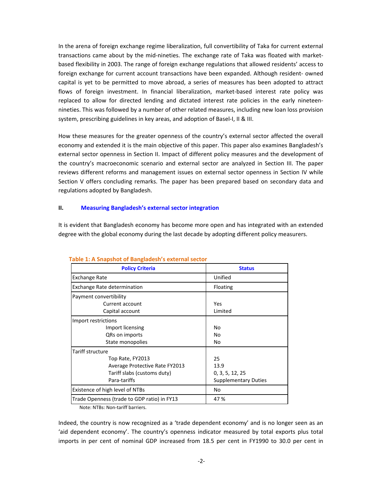In the arena of foreign exchange regime liberalization, full convertibility of Taka for current external transactions came about by the mid-nineties. The exchange rate of Taka was floated with marketbased flexibility in 2003. The range of foreign exchange regulations that allowed residents' access to foreign exchange for current account transactions have been expanded. Although resident- owned capital is yet to be permitted to move abroad, a series of measures has been adopted to attract flows of foreign investment. In financial liberalization, market-based interest rate policy was replaced to allow for directed lending and dictated interest rate policies in the early nineteennineties. This was followed by a number of other related measures, including new loan loss provision system, prescribing guidelines in key areas, and adoption of Basel-I, II & III.

How these measures for the greater openness of the country's external sector affected the overall economy and extended it is the main objective of this paper. This paper also examines Bangladesh's external sector openness in Section II. Impact of different policy measures and the development of the country's macroeconomic scenario and external sector are analyzed in Section III. The paper reviews different reforms and management issues on external sector openness in Section IV while Section V offers concluding remarks. The paper has been prepared based on secondary data and regulations adopted by Bangladesh.

## **II. Measuring Bangladesh's external sector integration**

It is evident that Bangladesh economy has become more open and has integrated with an extended degree with the global economy during the last decade by adopting different policy measurers.

| <b>Policy Criteria</b>                      | <b>Status</b>               |  |  |  |
|---------------------------------------------|-----------------------------|--|--|--|
| <b>Exchange Rate</b>                        | Unified                     |  |  |  |
| Exchange Rate determination                 | Floating                    |  |  |  |
| Payment convertibility                      |                             |  |  |  |
| Current account                             | Yes                         |  |  |  |
| Capital account                             | Limited                     |  |  |  |
| Import restrictions                         |                             |  |  |  |
| Import licensing                            | No                          |  |  |  |
| QRs on imports                              | No                          |  |  |  |
| State monopolies                            | No                          |  |  |  |
| Tariff structure                            |                             |  |  |  |
| Top Rate, FY2013                            | 25                          |  |  |  |
| Average Protective Rate FY2013              | 13.9                        |  |  |  |
| Tariff slabs (customs duty)                 | 0, 3, 5, 12, 25             |  |  |  |
| Para-tariffs                                | <b>Supplementary Duties</b> |  |  |  |
| Existence of high level of NTBs             | No                          |  |  |  |
| Trade Openness (trade to GDP ratio) in FY13 | 47 %                        |  |  |  |

## **Table 1: A Snapshot of Bangladesh's external sector**

Note: NTBs: Non-tariff barriers.

Indeed, the country is now recognized as a 'trade dependent economy' and is no longer seen as an 'aid dependent economy'. The country's openness indicator measured by total exports plus total imports in per cent of nominal GDP increased from 18.5 per cent in FY1990 to 30.0 per cent in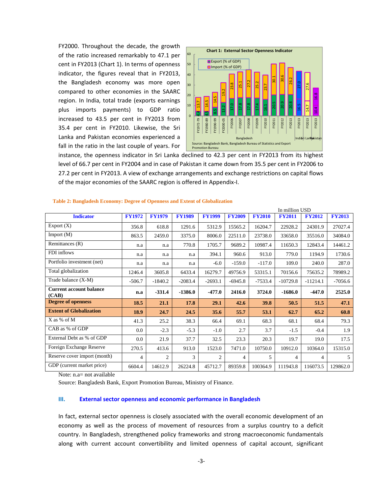FY2000. Throughout the decade, the growth of the ratio increased remarkably to 47.1 per cent in FY2013 (Chart 1). In terms of openness indicator, the figures reveal that in FY2013, the Bangladesh economy was more open compared to other economies in the SAARC region. In India, total trade (exports earnings plus imports payments) to GDP ratio increased to 43.5 per cent in FY2013 from 35.4 per cent in FY2010. Likewise, the Sri Lanka and Pakistan economies experienced a fall in the ratio in the last couple of years. For



| increased to 43.5 per cent in FY2013 from<br>FY1990-99<br>FY1980-89<br>FY2000-05<br>FY2006<br>FY2010<br>FY1972-79<br>FY2008<br>FY2009<br>FY2013<br>FY2007<br>FY2011<br>FY2012<br>FY2013<br>FY2013<br>FY2013<br>35.4 per cent in FY2010. Likewise, the Sri<br>Lanka and Pakistan economies experienced a<br>Bangladesh<br>Indiari Lankakistan<br>Source: Bangladesh Bank, Bangladesh Bureau of Statistics and Export<br>fall in the ratio in the last couple of years. For<br><b>Promotion Bureau</b><br>instance, the openness indicator in Sri Lanka declined to 42.3 per cent in FY2013 from its highest<br>level of 66.7 per cent in FY2004 and in case of Pakistan it came down from 35.5 per cent in FY2006 to<br>27.2 per cent in FY2013. A view of exchange arrangements and exchange restrictions on capital flows<br>of the major economies of the SAARC region is offered in Appendix-I.<br>Table 2: Bangladesh Economy: Degree of Openness and Extent of Globalization |               |                |               |               |               |               |                                 |               |               |
|-----------------------------------------------------------------------------------------------------------------------------------------------------------------------------------------------------------------------------------------------------------------------------------------------------------------------------------------------------------------------------------------------------------------------------------------------------------------------------------------------------------------------------------------------------------------------------------------------------------------------------------------------------------------------------------------------------------------------------------------------------------------------------------------------------------------------------------------------------------------------------------------------------------------------------------------------------------------------------------|---------------|----------------|---------------|---------------|---------------|---------------|---------------------------------|---------------|---------------|
| <b>Indicator</b>                                                                                                                                                                                                                                                                                                                                                                                                                                                                                                                                                                                                                                                                                                                                                                                                                                                                                                                                                                  | <b>FY1972</b> | <b>FY1979</b>  | <b>FY1989</b> | <b>FY1999</b> | <b>FY2009</b> | <b>FY2010</b> | In million USD<br><b>FY2011</b> | <b>FY2012</b> | <b>FY2013</b> |
| Export $(X)$                                                                                                                                                                                                                                                                                                                                                                                                                                                                                                                                                                                                                                                                                                                                                                                                                                                                                                                                                                      | 356.8         | 618.8          | 1291.6        | 5312.9        | 15565.2       | 16204.7       | 22928.2                         | 24301.9       | 27027.4       |
| Import (M)                                                                                                                                                                                                                                                                                                                                                                                                                                                                                                                                                                                                                                                                                                                                                                                                                                                                                                                                                                        | 863.5         | 2459.0         | 3375.0        | 8006.0        | 22511.0       | 23738.0       | 33658.0                         | 35516.0       | 34084.0       |
| Remittances (R)                                                                                                                                                                                                                                                                                                                                                                                                                                                                                                                                                                                                                                                                                                                                                                                                                                                                                                                                                                   | n.a           | n.a            | 770.8         | 1705.7        | 9689.2        | 10987.4       | 11650.3                         | 12843.4       | 14461.2       |
| FDI inflows                                                                                                                                                                                                                                                                                                                                                                                                                                                                                                                                                                                                                                                                                                                                                                                                                                                                                                                                                                       | n.a           | n.a            | n.a           | 394.1         | 960.6         | 913.0         | 779.0                           | 1194.9        | 1730.6        |
| Portfolio investment (net)                                                                                                                                                                                                                                                                                                                                                                                                                                                                                                                                                                                                                                                                                                                                                                                                                                                                                                                                                        | n.a           | n.a            | n.a           | $-6.0$        | $-159.0$      | $-117.0$      | 109.0                           | 240.0         | 287.0         |
| Total globalization                                                                                                                                                                                                                                                                                                                                                                                                                                                                                                                                                                                                                                                                                                                                                                                                                                                                                                                                                               | 1246.4        | 3605.8         | 6433.4        | 16279.7       | 49756.9       | 53315.1       | 70156.6                         | 75635.2       | 78989.2       |
| Trade balance (X-M)                                                                                                                                                                                                                                                                                                                                                                                                                                                                                                                                                                                                                                                                                                                                                                                                                                                                                                                                                               | $-506.7$      | $-1840.2$      | $-2083.4$     | $-2693.1$     | $-6945.8$     | $-7533.4$     | $-10729.8$                      | $-11214.1$    | $-7056.6$     |
| <b>Current account balance</b>                                                                                                                                                                                                                                                                                                                                                                                                                                                                                                                                                                                                                                                                                                                                                                                                                                                                                                                                                    | n.a           | $-331.4$       | $-1386.0$     | $-477.0$      | 2416.0        | 3724.0        | -1686.0                         | -447.0        | 2525.0        |
| (CAB)                                                                                                                                                                                                                                                                                                                                                                                                                                                                                                                                                                                                                                                                                                                                                                                                                                                                                                                                                                             |               |                |               |               |               |               |                                 |               |               |
| <b>Degree of openness</b>                                                                                                                                                                                                                                                                                                                                                                                                                                                                                                                                                                                                                                                                                                                                                                                                                                                                                                                                                         | 18.5          | 21.1           | <b>17.8</b>   | 29.1          | 42.6          | 39.8          | 50.5                            | 51.5          | 47.1          |
| <b>Extent of Globalization</b>                                                                                                                                                                                                                                                                                                                                                                                                                                                                                                                                                                                                                                                                                                                                                                                                                                                                                                                                                    | 18.9          | 24.7           | 24.5          | 35.6          | 55.7          | 53.1          | 62.7                            | 65.2          | 60.8          |
| X as % of M                                                                                                                                                                                                                                                                                                                                                                                                                                                                                                                                                                                                                                                                                                                                                                                                                                                                                                                                                                       | 41.3          | 25.2           | 38.3          | 66.4          | 69.1          | 68.3          | 68.1                            | 68.4          | 79.3          |
| CAB as % of GDP                                                                                                                                                                                                                                                                                                                                                                                                                                                                                                                                                                                                                                                                                                                                                                                                                                                                                                                                                                   | 0.0           | $-2.3$         | $-5.3$        | $-1.0$        | 2.7           | 3.7           | $-1.5$                          | $-0.4$        | 1.9           |
| External Debt as % of GDP                                                                                                                                                                                                                                                                                                                                                                                                                                                                                                                                                                                                                                                                                                                                                                                                                                                                                                                                                         | 0.0           | 21.9           | 37.7          | 32.5          | 23.3          | 20.3          | 19.7                            | 19.0          | 17.5          |
| Foreign Exchange Reserve                                                                                                                                                                                                                                                                                                                                                                                                                                                                                                                                                                                                                                                                                                                                                                                                                                                                                                                                                          | 270.5         | 413.6          | 913.0         | 1523.0        | 7471.0        | 10750.0       | 10912.0                         | 10364.0       | 15315.0       |
| Reserve cover import (month)                                                                                                                                                                                                                                                                                                                                                                                                                                                                                                                                                                                                                                                                                                                                                                                                                                                                                                                                                      | 4             | $\overline{2}$ | 3             | 2             | 4             | 5             | 4                               | 4             | 5             |
| GDP (current market price)                                                                                                                                                                                                                                                                                                                                                                                                                                                                                                                                                                                                                                                                                                                                                                                                                                                                                                                                                        | 6604.4        | 14612.9        | 26224.8       | 45712.7       | 89359.8       | 100364.9      | 111943.8                        | 116073.5      | 129862.0      |
| Note: n.a= not available<br>Source: Bangladesh Bank, Export Promotion Bureau, Ministry of Finance.<br><b>External sector openness and economic performance in Bangladesh</b><br>Ш.<br>In fact, external sector openness is closely associated with the overall economic development of an<br>economy as well as the process of movement of resources from a surplus country to a deficit<br>country. In Bangladesh, strengthened policy frameworks and strong macroeconomic fundamentals<br>along with current account convertibility and limited openness of capital account, significant                                                                                                                                                                                                                                                                                                                                                                                        |               |                |               |               |               |               |                                 |               |               |

#### **Table 2: Bangladesh Economy: Degree of Openness and Extent of Globalization**

## **III. External sector openness and economic performance in Bangladesh**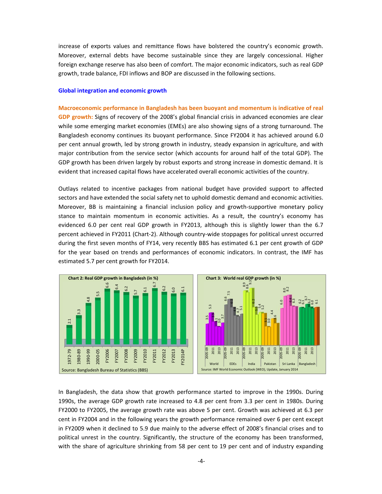increase of exports values and remittance flows have bolstered the country's economic growth. Moreover, external debts have become sustainable since they are largely concessional. Higher foreign exchange reserve has also been of comfort. The major economic indicators, such as real GDP growth, trade balance, FDI inflows and BOP are discussed in the following sections.

#### **Global integration and economic growth**

**Macroeconomic performance in Bangladesh has been buoyant and momentum is indicative of real GDP growth:** Signs of recovery of the 2008's global financial crisis in advanced economies are clear while some emerging market economies (EMEs) are also showing signs of a strong turnaround. The Bangladesh economy continues its buoyant performance. Since FY2004 it has achieved around 6.0 per cent annual growth, led by strong growth in industry, steady expansion in agriculture, and with major contribution from the service sector (which accounts for around half of the total GDP). The GDP growth has been driven largely by robust exports and strong increase in domestic demand. It is evident that increased capital flows have accelerated overall economic activities of the country.

Outlays related to incentive packages from national budget have provided support to affected sectors and have extended the social safety net to uphold domestic demand and economic activities. Moreover, BB is maintaining a financial inclusion policy and growth-supportive monetary policy stance to maintain momentum in economic activities. As a result, the country's economy has evidenced 6.0 per cent real GDP growth in FY2013, although this is slightly lower than the 6.7 percent achieved in FY2011 (Chart-2). Although country-wide stoppages for political unrest occurred during the first seven months of FY14, very recently BBS has estimated 6.1 per cent growth of GDP for the year based on trends and performances of economic indicators. In contrast, the IMF has estimated 5.7 per cent growth for FY2014.



In Bangladesh, the data show that growth performance started to improve in the 1990s. During 1990s, the average GDP growth rate increased to 4.8 per cent from 3.3 per cent in 1980s. During FY2000 to FY2005, the average growth rate was above 5 per cent. Growth was achieved at 6.3 per cent in FY2004 and in the following years the growth performance remained over 6 per cent except in FY2009 when it declined to 5.9 due mainly to the adverse effect of 2008's financial crises and to political unrest in the country. Significantly, the structure of the economy has been transformed,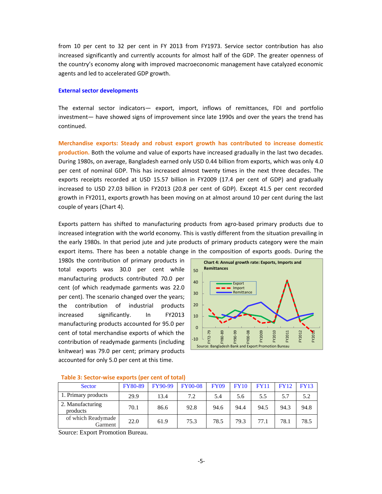from 10 per cent to 32 per cent in FY 2013 from FY1973. Service sector contribution has also increased significantly and currently accounts for almost half of the GDP. The greater openness of the country's economy along with improved macroeconomic management have catalyzed economic agents and led to accelerated GDP growth.

#### **External sector developments**

The external sector indicators— export, import, inflows of remittances, FDI and portfolio investment— have showed signs of improvement since late 1990s and over the years the trend has continued.

**Merchandise exports: Steady and robust export growth has contributed to increase domestic production.** Both the volume and value of exports have increased gradually in the last two decades. During 1980s, on average, Bangladesh earned only USD 0.44 billion from exports, which was only 4.0 per cent of nominal GDP. This has increased almost twenty times in the next three decades. The exports receipts recorded at USD 15.57 billion in FY2009 (17.4 per cent of GDP) and gradually increased to USD 27.03 billion in FY2013 (20.8 per cent of GDP). Except 41.5 per cent recorded growth in FY2011, exports growth has been moving on at almost around 10 per cent during the last couple of years (Chart 4).

Exports pattern has shifted to manufacturing products from agro-based primary products due to increased integration with the world economy. This is vastly different from the situation prevailing in the early 1980s. In that period jute and jute products of primary products category were the main export items. There has been a notable change in the composition of exports goods. During the

1980s the contribution of primary products in total exports was 30.0 per cent while manufacturing products contributed 70.0 per cent (of which readymade garments was 22.0 per cent). The scenario changed over the years; the contribution of industrial products increased significantly. In FY2013 manufacturing products accounted for 95.0 per cent of total merchandise exports of which the contribution of readymade garments (including knitwear) was 79.0 per cent; primary products accounted for only 5.0 per cent at this time.



| <b>Sector</b>                 | <b>FY80-89</b> | <b>FY90-99</b> | <b>FY00-08</b> | <b>FY09</b> | <b>FY10</b> | <b>FY11</b> | <b>FY12</b> | <b>FY13</b> |
|-------------------------------|----------------|----------------|----------------|-------------|-------------|-------------|-------------|-------------|
| 1. Primary products           | 29.9           | 13.4           | 7.2            | 5.4         | 5.6         | 5.5         | 5.7         | 5.2         |
| 2. Manufacturing<br>products  | 70.1           | 86.6           | 92.8           | 94.6        | 94.4        | 94.5        | 94.3        | 94.8        |
| of which Readymade<br>Garment | 22.0           | 61.9           | 75.3           | 78.5        | 79.3        | 77.1        | 78.1        | 78.5        |

#### **Table 3: Sector-wise exports (per cent of total)**

Source: Export Promotion Bureau.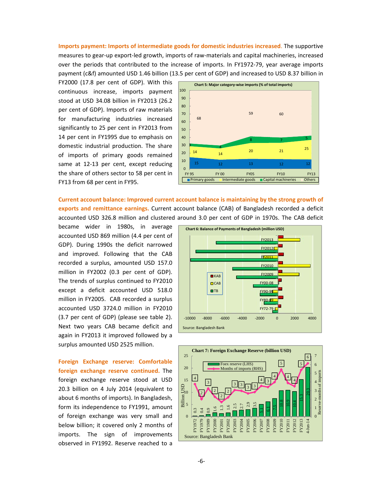**Imports payment: Imports of intermediate goods for domestic industries increased**. The supportive measures to gear-up export-led growth, imports of raw-materials and capital machineries, increased over the periods that contributed to the increase of imports. In FY1972-79, year average imports payment (c&f) amounted USD 1.46 billion (13.5 per cent of GDP) and increased to USD 8.37 billion in

FY2000 (17.8 per cent of GDP). With this continuous increase, imports payment stood at USD 34.08 billion in FY2013 (26.2 per cent of GDP). Imports of raw materials for manufacturing industries increased significantly to 25 per cent in FY2013 from 14 per cent in FY1995 due to emphasis on domestic industrial production. The share of imports of primary goods remained same at 12-13 per cent, except reducing the share of others sector to 58 per cent in FY13 from 68 per cent in FY95.



**Current account balance: Improved current account balance is maintaining by the strong growth of exports and remittance earnings.** Current account balance (CAB) of Bangladesh recorded a deficit accounted USD 326.8 million and clustered around 3.0 per cent of GDP in 1970s. The CAB deficit

became wider in 1980s, in average accounted USD 869 million (4.4 per cent of GDP). During 1990s the deficit narrowed and improved. Following that the CAB recorded a surplus, amounted USD 157.0 million in FY2002 (0.3 per cent of GDP). The trends of surplus continued to FY2010 except a deficit accounted USD 518.0 million in FY2005. CAB recorded a surplus accounted USD 3724.0 million in FY2010 (3.7 per cent of GDP) (please see table 2). Next two years CAB became deficit and again in FY2013 it improved followed by a surplus amounted USD 2525 million.

**Foreign Exchange reserve: Comfortable foreign exchange reserve continued.** The foreign exchange reserve stood at USD 20.3 billion on 4 July 2014 (equivalent to about 6 months of imports). In Bangladesh, form its independence to FY1991, amount of foreign exchange was very small and below billion; it covered only 2 months of imports. The sign of improvements observed in FY1992. Reserve reached to a



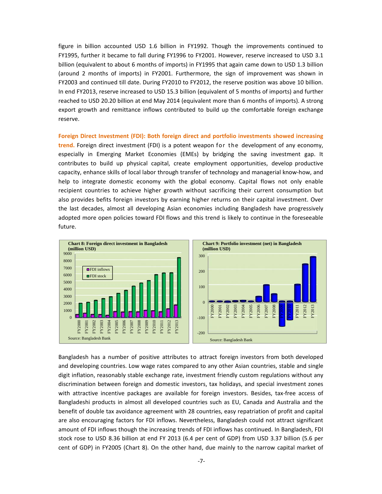figure in billion accounted USD 1.6 billion in FY1992. Though the improvements continued to FY1995, further it became to fall during FY1996 to FY2001. However, reserve increased to USD 3.1 billion (equivalent to about 6 months of imports) in FY1995 that again came down to USD 1.3 billion (around 2 months of imports) in FY2001. Furthermore, the sign of improvement was shown in FY2003 and continued till date. During FY2010 to FY2012, the reserve position was above 10 billion. In end FY2013, reserve increased to USD 15.3 billion (equivalent of 5 months of imports) and further reached to USD 20.20 billion at end May 2014 (equivalent more than 6 months of imports). A strong export growth and remittance inflows contributed to build up the comfortable foreign exchange reserve.

**Foreign Direct Investment (FDI): Both foreign direct and portfolio investments showed increasing trend.** Foreign direct investment (FDI) is a potent weapon for the development of any economy, especially in Emerging Market Economies (EMEs) by bridging the saving investment gap. It contributes to build up physical capital, create employment opportunities, develop productive capacity, enhance skills of local labor through transfer of technology and managerial know-how, and help to integrate domestic economy with the global economy. Capital flows not only enable recipient countries to achieve higher growth without sacrificing their current consumption but also provides befits foreign investors by earning higher returns on their capital investment. Over the last decades, almost all developing Asian economies including Bangladesh have progressively adopted more open policies toward FDI flows and this trend is likely to continue in the foreseeable future.



Bangladesh has a number of positive attributes to attract foreign investors from both developed and developing countries. Low wage rates compared to any other Asian countries, stable and single digit inflation, reasonably stable exchange rate, investment friendly custom regulations without any discrimination between foreign and domestic investors, tax holidays, and special investment zones with attractive incentive packages are available for foreign investors. Besides, tax-free access of Bangladeshi products in almost all developed countries such as EU, Canada and Australia and the benefit of double tax avoidance agreement with 28 countries, easy repatriation of profit and capital are also encouraging factors for FDI inflows. Nevertheless, Bangladesh could not attract significant amount of FDI inflows though the increasing trends of FDI inflows has continued. In Bangladesh, FDI stock rose to USD 8.36 billion at end FY 2013 (6.4 per cent of GDP) from USD 3.37 billion (5.6 per cent of GDP) in FY2005 (Chart 8). On the other hand, due mainly to the narrow capital market of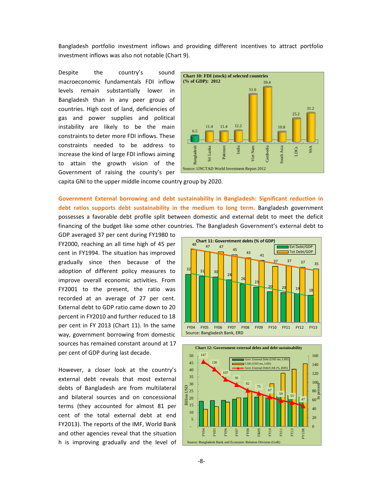Bangladesh portfolio investment inflows and providing different incentives to attract portfolio investment inflows was also not notable (Chart 9).

Despite the country's sound macroeconomic fundamentals FDI inflow levels remain substantially lower in Bangladesh than in any peer group of countries. High cost of land, deficiencies of gas and power supplies and political instability are likely to be the main constraints to deter more FDI inflows. These constraints needed to be address to increase the kind of large FDI inflows aiming to attain the growth vision of the Government of raising the county's per



capita GNI to the upper middle income country group by 2020.

**Government External borrowing and debt sustainability in Bangladesh: Significant reduction in debt ratios supports debt sustainability in the medium to long term.** Bangladesh government possesses a favorable debt profile split between domestic and external debt to meet the deficit financing of the budget like some other countries. The Bangladesh Government's external debt to

GDP averaged 37 per cent during FY1980 to FY2000, reaching an all time high of 45 per cent in FY1994. The situation has improved gradually since then because of the adoption of different policy measures to improve overall economic activities. From FY2001 to the present, the ratio was recorded at an average of 27 per cent. External debt to GDP ratio came down to 20 percent in FY2010 and further reduced to 18 per cent in FY 2013 (Chart 11). In the same way, government borrowing from domestic sources has remained constant around at 17 per cent of GDP during last decade.

However, a closer look at the country's external debt reveals that most external debts of Bangladesh are from multilateral and bilateral sources and on concessional terms (they accounted for almost 81 per cent of the total external debt at end FY2013). The reports of the IMF, World Bank and other agencies reveal that the situation h is improving gradually and the level of



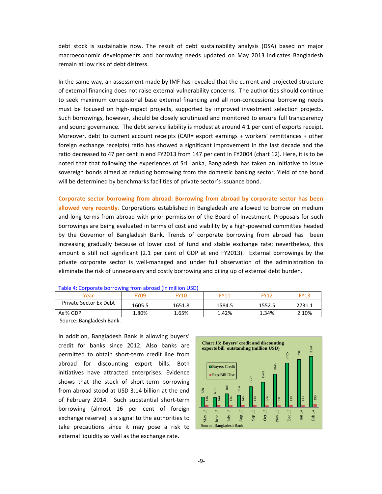debt stock is sustainable now. The result of debt sustainability analysis (DSA) based on major macroeconomic developments and borrowing needs updated on May 2013 indicates Bangladesh remain at low risk of debt distress.

In the same way, an assessment made by IMF has revealed that the current and projected structure of external financing does not raise external vulnerability concerns. The authorities should continue to seek maximum concessional base external financing and all non-concessional borrowing needs must be focused on high-impact projects, supported by improved investment selection projects. Such borrowings, however, should be closely scrutinized and monitored to ensure full transparency and sound governance. The debt service liability is modest at around 4.1 per cent of exports receipt. Moreover, debt to current account receipts (CAR= export earnings + workers' remittances + other foreign exchange receipts) ratio has showed a significant improvement in the last decade and the ratio decreased to 47 per cent in end FY2013 from 147 per cent in FY2004 (chart 12). Here, it is to be noted that that following the experiences of Sri Lanka, Bangladesh has taken an initiative to issue sovereign bonds aimed at reducing borrowing from the domestic banking sector. Yield of the bond will be determined by benchmarks facilities of private sector's issuance bond.

**Corporate sector borrowing from abroad: Borrowing from abroad by corporate sector has been allowed very recently.** Corporations established in Bangladesh are allowed to borrow on medium and long terms from abroad with prior permission of the Board of Investment. Proposals for such borrowings are being evaluated in terms of cost and viability by a high-powered committee headed by the Governor of Bangladesh Bank. Trends of corporate borrowing from abroad has been increasing gradually because of lower cost of fund and stable exchange rate; nevertheless, this amount is still not significant (2.1 per cent of GDP at end FY2013). External borrowings by the private corporate sector is well-managed and under full observation of the administration to eliminate the risk of unnecessary and costly borrowing and piling up of external debt burden.

| Year                   | -709   | FY10   | FY11   | EV11   | FY13   |
|------------------------|--------|--------|--------|--------|--------|
| Private Sector Ex Debt | 1605.5 | 1651.8 | 1584.5 | 1552.5 | 2731.1 |
| As % GDP               | 1.80%  | 1.65%  | 1.42%  | 34%.   | 2.10%  |

| Table 4: Corporate borrowing from abroad (in million USD) |  |  |
|-----------------------------------------------------------|--|--|
|-----------------------------------------------------------|--|--|

Source: Bangladesh Bank.

In addition, Bangladesh Bank is allowing buyers' credit for banks since 2012. Also banks are permitted to obtain short-term credit line from abroad for discounting export bills. Both initiatives have attracted enterprises. Evidence shows that the stock of short-term borrowing from abroad stood at USD 3.14 billion at the end of February 2014. Such substantial short-term borrowing (almost 16 per cent of foreign exchange reserve) is a signal to the authorities to take precautions since it may pose a risk to external liquidity as well as the exchange rate.

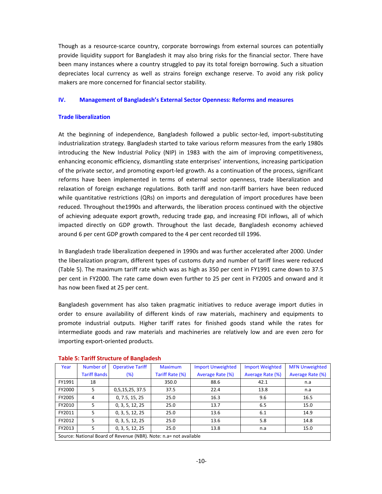Though as a resource-scarce country, corporate borrowings from external sources can potentially provide liquidity support for Bangladesh it may also bring risks for the financial sector. There have been many instances where a country struggled to pay its total foreign borrowing. Such a situation depreciates local currency as well as strains foreign exchange reserve. To avoid any risk policy makers are more concerned for financial sector stability.

## **IV. Management of Bangladesh's External Sector Openness: Reforms and measures**

## **Trade liberalization**

At the beginning of independence, Bangladesh followed a public sector-led, import-substituting industrialization strategy. Bangladesh started to take various reform measures from the early 1980s introducing the New Industrial Policy (NIP) in 1983 with the aim of improving competitiveness, enhancing economic efficiency, dismantling state enterprises' interventions, increasing participation of the private sector, and promoting export-led growth. As a continuation of the process, significant reforms have been implemented in terms of external sector openness, trade liberalization and relaxation of foreign exchange regulations. Both tariff and non-tariff barriers have been reduced while quantitative restrictions (QRs) on imports and deregulation of import procedures have been reduced. Throughout the1990s and afterwards, the liberation process continued with the objective of achieving adequate export growth, reducing trade gap, and increasing FDI inflows, all of which impacted directly on GDP growth. Throughout the last decade, Bangladesh economy achieved around 6 per cent GDP growth compared to the 4 per cent recorded till 1996.

In Bangladesh trade liberalization deepened in 1990s and was further accelerated after 2000. Under the liberalization program, different types of customs duty and number of tariff lines were reduced (Table 5). The maximum tariff rate which was as high as 350 per cent in FY1991 came down to 37.5 per cent in FY2000. The rate came down even further to 25 per cent in FY2005 and onward and it has now been fixed at 25 per cent.

Bangladesh government has also taken pragmatic initiatives to reduce average import duties in order to ensure availability of different kinds of raw materials, machinery and equipments to promote industrial outputs. Higher tariff rates for finished goods stand while the rates for intermediate goods and raw materials and machineries are relatively low and are even zero for importing export-oriented products.

| Year   | Number of           | <b>Operative Tariff</b>                                           | <b>Maximum</b>  | <b>Import Unweighted</b> | <b>Import Weighted</b>  | <b>MFN Unweighted</b>   |
|--------|---------------------|-------------------------------------------------------------------|-----------------|--------------------------|-------------------------|-------------------------|
|        | <b>Tariff Bands</b> | (%)                                                               | Tariff Rate (%) | Average Rate (%)         | <b>Average Rate (%)</b> | <b>Average Rate (%)</b> |
| FY1991 | 18                  |                                                                   | 350.0           | 88.6                     | 42.1                    | n.a                     |
| FY2000 | 5                   | 0,5,15,25, 37.5                                                   | 37.5            | 22.4                     | 13.8                    | n.a                     |
| FY2005 | 4                   | 0, 7.5, 15, 25                                                    | 25.0            | 16.3                     | 9.6                     | 16.5                    |
| FY2010 | 5                   | 0, 3, 5, 12, 25                                                   | 25.0            | 13.7                     | 6.5                     | 15.0                    |
| FY2011 | 5.                  | 0, 3, 5, 12, 25                                                   | 25.0            | 13.6                     | 6.1                     | 14.9                    |
| FY2012 | 5                   | 0, 3, 5, 12, 25                                                   | 25.0            | 13.6                     | 5.8                     | 14.8                    |
| FY2013 | 5                   | 0, 3, 5, 12, 25                                                   | 25.0            | 13.8                     | n.a                     | 15.0                    |
|        |                     | Source: National Board of Revenue (NBR). Note: n.a= not available |                 |                          |                         |                         |

## **Table 5: Tariff Structure of Bangladesh**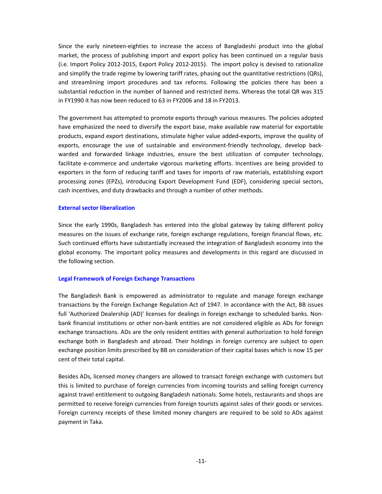Since the early nineteen-eighties to increase the access of Bangladeshi product into the global market, the process of publishing import and export policy has been continued on a regular basis (i.e. Import Policy 2012-2015, Export Policy 2012-2015). The import policy is devised to rationalize and simplify the trade regime by lowering tariff rates, phasing out the quantitative restrictions (QRs), and streamlining import procedures and tax reforms. Following the policies there has been a substantial reduction in the number of banned and restricted items. Whereas the total QR was 315 in FY1990 it has now been reduced to 63 in FY2006 and 18 in FY2013.

The government has attempted to promote exports through various measures. The policies adopted have emphasized the need to diversify the export base, make available raw material for exportable products, expand export destinations, stimulate higher value added-exports, improve the quality of exports, encourage the use of sustainable and environment-friendly technology, develop backwarded and forwarded linkage industries, ensure the best utilization of computer technology, facilitate e-commerce and undertake vigorous marketing efforts. Incentives are being provided to exporters in the form of reducing tariff and taxes for imports of raw materials, establishing export processing zones (EPZs), introducing Export Development Fund (EDF), considering special sectors, cash incentives, and duty drawbacks and through a number of other methods.

## **External sector liberalization**

Since the early 1990s, Bangladesh has entered into the global gateway by taking different policy measures on the issues of exchange rate, foreign exchange regulations, foreign financial flows, etc. Such continued efforts have substantially increased the integration of Bangladesh economy into the global economy. The important policy measures and developments in this regard are discussed in the following section.

## **Legal Framework of Foreign Exchange Transactions**

The Bangladesh Bank is empowered as administrator to regulate and manage foreign exchange transactions by the Foreign Exchange Regulation Act of 1947. In accordance with the Act, BB issues full 'Authorized Dealership (AD)' licenses for dealings in foreign exchange to scheduled banks. Nonbank financial institutions or other non-bank entities are not considered eligible as ADs for foreign exchange transactions. ADs are the only resident entities with general authorization to hold foreign exchange both in Bangladesh and abroad. Their holdings in foreign currency are subject to open exchange position limits prescribed by BB on consideration of their capital bases which is now 15 per cent of their total capital.

Besides ADs, licensed money changers are allowed to transact foreign exchange with customers but this is limited to purchase of foreign currencies from incoming tourists and selling foreign currency against travel entitlement to outgoing Bangladesh nationals. Some hotels, restaurants and shops are permitted to receive foreign currencies from foreign tourists against sales of their goods or services. Foreign currency receipts of these limited money changers are required to be sold to ADs against payment in Taka.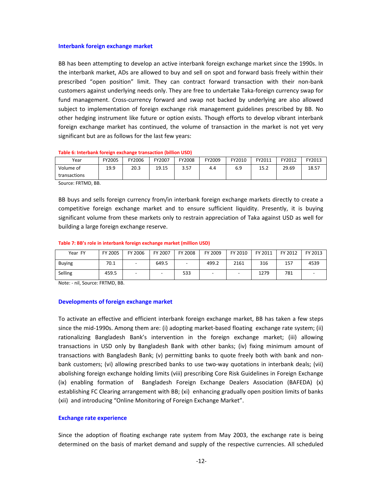#### **Interbank foreign exchange market**

BB has been attempting to develop an active interbank foreign exchange market since the 1990s. In the interbank market, ADs are allowed to buy and sell on spot and forward basis freely within their prescribed "open position" limit. They can contract forward transaction with their non-bank customers against underlying needs only. They are free to undertake Taka-foreign currency swap for fund management. Cross-currency forward and swap not backed by underlying are also allowed subject to implementation of foreign exchange risk management guidelines prescribed by BB. No other hedging instrument like future or option exists. Though efforts to develop vibrant interbank foreign exchange market has continued, the volume of transaction in the market is not yet very significant but are as follows for the last few years:

#### **Table 6: Interbank foreign exchange transaction (billion USD)**

| Year                                                              | FY2005 | FY2006 | FY2007 | FY2008 | FY2009 | FY2010 | FY2011 | FY2012 | FY2013 |
|-------------------------------------------------------------------|--------|--------|--------|--------|--------|--------|--------|--------|--------|
| Volume of                                                         | 19.9   | 20.3   | 19.15  | 3.57   | 4.4    | 6.9    | 15.2   | 29.69  | 18.57  |
| transactions                                                      |        |        |        |        |        |        |        |        |        |
| $\epsilon$ $\epsilon$ $\epsilon$ $\epsilon$ $\epsilon$ $\epsilon$ |        |        |        |        |        |        |        |        |        |

Source: FRTMD, BB.

BB buys and sells foreign currency from/in interbank foreign exchange markets directly to create a competitive foreign exchange market and to ensure sufficient liquidity. Presently, it is buying significant volume from these markets only to restrain appreciation of Taka against USD as well for building a large foreign exchange reserve.

#### **Table 7: BB's role in interbank foreign exchange market (million USD)**

| Year FY       | FY 2005 | FY 2006 | FY 2007 | <b>FY 2008</b> | FY 2009                  | FY 2010                  | FY 2011 | FY 2012 | FY 2013 |
|---------------|---------|---------|---------|----------------|--------------------------|--------------------------|---------|---------|---------|
| <b>Buying</b> | 70.1    | -       | 649.5   | -              | 499.2                    | 2161                     | 316     | 157     | 4539    |
| Selling       | 459.5   | -       | -       | 533            | $\overline{\phantom{0}}$ | $\overline{\phantom{0}}$ | 1279    | 781     |         |

Note: - nil, Source: FRTMD, BB.

## **Developments of foreign exchange market**

To activate an effective and efficient interbank foreign exchange market, BB has taken a few steps since the mid-1990s. Among them are: (i) adopting market-based floating exchange rate system; (ii) rationalizing Bangladesh Bank's intervention in the foreign exchange market; (iii) allowing transactions in USD only by Bangladesh Bank with other banks; (iv) fixing minimum amount of transactions with Bangladesh Bank; (v) permitting banks to quote freely both with bank and nonbank customers; (vi) allowing prescribed banks to use two-way quotations in interbank deals; (vii) abolishing foreign exchange holding limits (viii) prescribing Core Risk Guidelines in Foreign Exchange (ix) enabling formation of Bangladesh Foreign Exchange Dealers Association (BAFEDA) (x) establishing FC Clearing arrangement with BB; (xi) enhancing gradually open position limits of banks (xii) and introducing "Online Monitoring of Foreign Exchange Market".

#### **Exchange rate experience**

Since the adoption of floating exchange rate system from May 2003, the exchange rate is being determined on the basis of market demand and supply of the respective currencies. All scheduled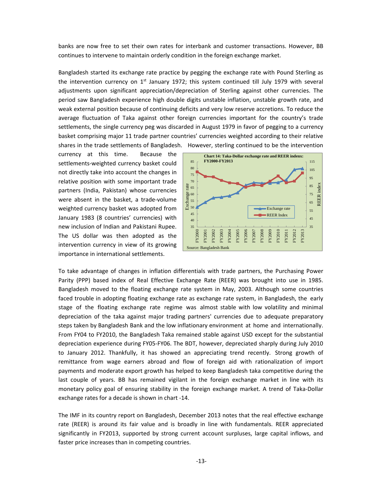banks are now free to set their own rates for interbank and customer transactions. However, BB continues to intervene to maintain orderly condition in the foreign exchange market.

Bangladesh started its exchange rate practice by pegging the exchange rate with Pound Sterling as the intervention currency on  $1<sup>st</sup>$  January 1972; this system continued till July 1979 with several adjustments upon significant appreciation/depreciation of Sterling against other currencies. The period saw Bangladesh experience high double digits unstable inflation, unstable growth rate, and weak external position because of continuing deficits and very low reserve accretions. To reduce the average fluctuation of Taka against other foreign currencies important for the country's trade settlements, the single currency peg was discarded in August 1979 in favor of pegging to a currency basket comprising major 11 trade partner countries' currencies weighted according to their relative shares in the trade settlements of Bangladesh. However, sterling continued to be the intervention

currency at this time. Because the settlements-weighted currency basket could not directly take into account the changes in relative position with some important trade partners (India, Pakistan) whose currencies were absent in the basket, a trade-volume weighted currency basket was adopted from January 1983 (8 countries' currencies) with new inclusion of Indian and Pakistani Rupee. The US dollar was then adopted as the intervention currency in view of its growing importance in international settlements.



To take advantage of changes in inflation differentials with trade partners, the Purchasing Power Parity (PPP) based index of Real Effective Exchange Rate (REER) was brought into use in 1985. Bangladesh moved to the floating exchange rate system in May, 2003. Although some countries faced trouble in adopting floating exchange rate as exchange rate system, in Bangladesh, the early stage of the floating exchange rate regime was almost stable with low volatility and minimal depreciation of the taka against major trading partners' currencies due to adequate preparatory steps taken by Bangladesh Bank and the low inflationary environment at home and internationally. From FY04 to FY2010, the Bangladesh Taka remained stable against USD except for the substantial depreciation experience during FY05-FY06. The BDT, however, depreciated sharply during July 2010 to January 2012. Thankfully, it has showed an appreciating trend recently. Strong growth of remittance from wage earners abroad and flow of foreign aid with rationalization of import payments and moderate export growth has helped to keep Bangladesh taka competitive during the last couple of years. BB has remained vigilant in the foreign exchange market in line with its monetary policy goal of ensuring stability in the foreign exchange market. A trend of Taka-Dollar exchange rates for a decade is shown in chart -14.

The IMF in its country report on Bangladesh, December 2013 notes that the real effective exchange rate (REER) is around its fair value and is broadly in line with fundamentals. REER appreciated significantly in FY2013, supported by strong current account surpluses, large capital inflows, and faster price increases than in competing countries.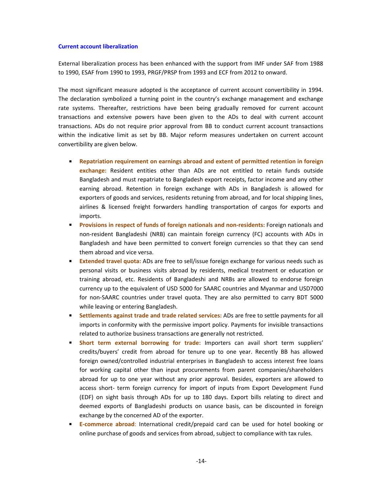### **Current account liberalization**

External liberalization process has been enhanced with the support from IMF under SAF from 1988 to 1990, ESAF from 1990 to 1993, PRGF/PRSP from 1993 and ECF from 2012 to onward.

The most significant measure adopted is the acceptance of current account convertibility in 1994. The declaration symbolized a turning point in the country's exchange management and exchange rate systems. Thereafter, restrictions have been being gradually removed for current account transactions and extensive powers have been given to the ADs to deal with current account transactions. ADs do not require prior approval from BB to conduct current account transactions within the indicative limit as set by BB. Major reform measures undertaken on current account convertibility are given below.

- **Repatriation requirement on earnings abroad and extent of permitted retention in foreign exchange:** Resident entities other than ADs are not entitled to retain funds outside Bangladesh and must repatriate to Bangladesh export receipts, factor income and any other earning abroad. Retention in foreign exchange with ADs in Bangladesh is allowed for exporters of goods and services, residents retuning from abroad, and for local shipping lines, airlines & licensed freight forwarders handling transportation of cargos for exports and imports.
- **Provisions in respect of funds of foreign nationals and non-residents:** Foreign nationals and non-resident Bangladeshi (NRB) can maintain foreign currency (FC) accounts with ADs in Bangladesh and have been permitted to convert foreign currencies so that they can send them abroad and vice versa.
- **Extended travel quota:** ADs are free to sell/issue foreign exchange for various needs such as personal visits or business visits abroad by residents, medical treatment or education or training abroad, etc. Residents of Bangladeshi and NRBs are allowed to endorse foreign currency up to the equivalent of USD 5000 for SAARC countries and Myanmar and USD7000 for non-SAARC countries under travel quota. They are also permitted to carry BDT 5000 while leaving or entering Bangladesh.
- **Settlements against trade and trade related services:** ADs are free to settle payments for all imports in conformity with the permissive import policy. Payments for invisible transactions related to authorize business transactions are generally not restricted.
- **Short term external borrowing for trade:** Importers can avail short term suppliers' credits/buyers' credit from abroad for tenure up to one year. Recently BB has allowed foreign owned/controlled industrial enterprises in Bangladesh to access interest free loans for working capital other than input procurements from parent companies/shareholders abroad for up to one year without any prior approval. Besides, exporters are allowed to access short- term foreign currency for import of inputs from Export Development Fund (EDF) on sight basis through ADs for up to 180 days. Export bills relating to direct and deemed exports of Bangladeshi products on usance basis, can be discounted in foreign exchange by the concerned AD of the exporter.
- **E-commerce abroad**: International credit/prepaid card can be used for hotel booking or online purchase of goods and services from abroad, subject to compliance with tax rules.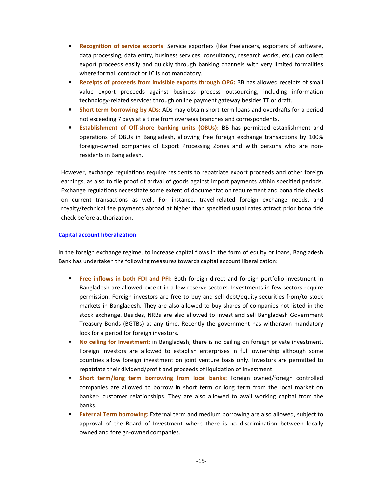- **Recognition of service exports**: Service exporters (like freelancers, exporters of software, data processing, data entry, business services, consultancy, research works, etc.) can collect export proceeds easily and quickly through banking channels with very limited formalities where formal contract or LC is not mandatory.
- **Receipts of proceeds from invisible exports through OPG:** BB has allowed receipts of small value export proceeds against business process outsourcing, including information technology-related services through online payment gateway besides TT or draft.
- **Short term borrowing by ADs:** ADs may obtain short-term loans and overdrafts for a period not exceeding 7 days at a time from overseas branches and correspondents.
- **Establishment of Off-shore banking units (OBUs):** BB has permitted establishment and operations of OBUs in Bangladesh, allowing free foreign exchange transactions by 100% foreign-owned companies of Export Processing Zones and with persons who are nonresidents in Bangladesh.

However, exchange regulations require residents to repatriate export proceeds and other foreign earnings, as also to file proof of arrival of goods against import payments within specified periods. Exchange regulations necessitate some extent of documentation requirement and bona fide checks on current transactions as well. For instance, travel-related foreign exchange needs, and royalty/technical fee payments abroad at higher than specified usual rates attract prior bona fide check before authorization.

## **Capital account liberalization**

In the foreign exchange regime, to increase capital flows in the form of equity or loans, Bangladesh Bank has undertaken the following measures towards capital account liberalization:

- **Free inflows in both FDI and PFI:** Both foreign direct and foreign portfolio investment in Bangladesh are allowed except in a few reserve sectors. Investments in few sectors require permission. Foreign investors are free to buy and sell debt/equity securities from/to stock markets in Bangladesh. They are also allowed to buy shares of companies not listed in the stock exchange. Besides, NRBs are also allowed to invest and sell Bangladesh Government Treasury Bonds (BGTBs) at any time. Recently the government has withdrawn mandatory lock for a period for foreign investors.
- **No ceiling for Investment:** in Bangladesh, there is no ceiling on foreign private investment. Foreign investors are allowed to establish enterprises in full ownership although some countries allow foreign investment on joint venture basis only. Investors are permitted to repatriate their dividend/profit and proceeds of liquidation of investment.
- **Short term/long term borrowing from local banks:** Foreign owned/foreign controlled companies are allowed to borrow in short term or long term from the local market on banker- customer relationships. They are also allowed to avail working capital from the banks.
- **External Term borrowing:** External term and medium borrowing are also allowed, subject to approval of the Board of Investment where there is no discrimination between locally owned and foreign-owned companies.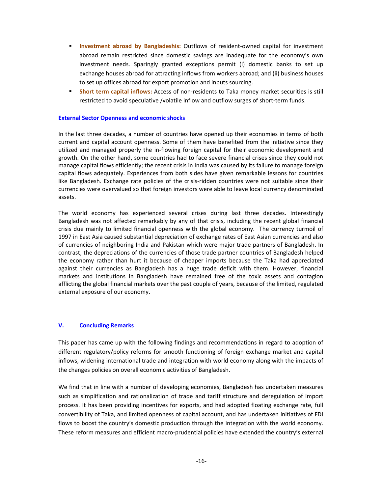- **Investment abroad by Bangladeshis:** Outflows of resident-owned capital for investment abroad remain restricted since domestic savings are inadequate for the economy's own investment needs. Sparingly granted exceptions permit (i) domestic banks to set up exchange houses abroad for attracting inflows from workers abroad; and (ii) business houses to set up offices abroad for export promotion and inputs sourcing.
- **Short term capital inflows:** Access of non-residents to Taka money market securities is still restricted to avoid speculative /volatile inflow and outflow surges of short-term funds.

## **External Sector Openness and economic shocks**

In the last three decades, a number of countries have opened up their economies in terms of both current and capital account openness. Some of them have benefited from the initiative since they utilized and managed properly the in-flowing foreign capital for their economic development and growth. On the other hand, some countries had to face severe financial crises since they could not manage capital flows efficiently; the recent crisis in India was caused by its failure to manage foreign capital flows adequately. Experiences from both sides have given remarkable lessons for countries like Bangladesh. Exchange rate policies of the crisis-ridden countries were not suitable since their currencies were overvalued so that foreign investors were able to leave local currency denominated assets.

The world economy has experienced several crises during last three decades. Interestingly Bangladesh was not affected remarkably by any of that crisis, including the recent global financial crisis due mainly to limited financial openness with the global economy. The currency turmoil of 1997 in East Asia caused substantial depreciation of exchange rates of East Asian currencies and also of currencies of neighboring India and Pakistan which were major trade partners of Bangladesh. In contrast, the depreciations of the currencies of those trade partner countries of Bangladesh helped the economy rather than hurt it because of cheaper imports because the Taka had appreciated against their currencies as Bangladesh has a huge trade deficit with them. However, financial markets and institutions in Bangladesh have remained free of the toxic assets and contagion afflicting the global financial markets over the past couple of years, because of the limited, regulated external exposure of our economy.

## **V. Concluding Remarks**

This paper has came up with the following findings and recommendations in regard to adoption of different regulatory/policy reforms for smooth functioning of foreign exchange market and capital inflows, widening international trade and integration with world economy along with the impacts of the changes policies on overall economic activities of Bangladesh.

We find that in line with a number of developing economies, Bangladesh has undertaken measures such as simplification and rationalization of trade and tariff structure and deregulation of import process. It has been providing incentives for exports, and had adopted floating exchange rate, full convertibility of Taka, and limited openness of capital account, and has undertaken initiatives of FDI flows to boost the country's domestic production through the integration with the world economy. These reform measures and efficient macro-prudential policies have extended the country's external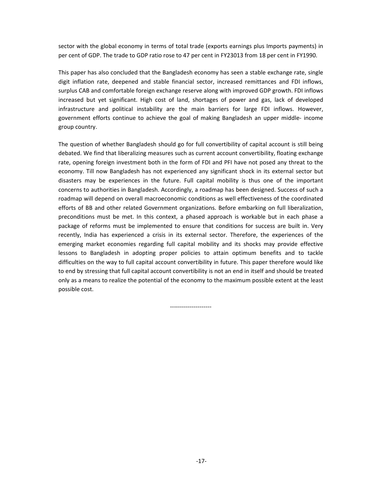sector with the global economy in terms of total trade (exports earnings plus Imports payments) in per cent of GDP. The trade to GDP ratio rose to 47 per cent in FY23013 from 18 per cent in FY1990.

This paper has also concluded that the Bangladesh economy has seen a stable exchange rate, single digit inflation rate, deepened and stable financial sector, increased remittances and FDI inflows, surplus CAB and comfortable foreign exchange reserve along with improved GDP growth. FDI inflows increased but yet significant. High cost of land, shortages of power and gas, lack of developed infrastructure and political instability are the main barriers for large FDI inflows. However, government efforts continue to achieve the goal of making Bangladesh an upper middle- income group country.

The question of whether Bangladesh should go for full convertibility of capital account is still being debated. We find that liberalizing measures such as current account convertibility, floating exchange rate, opening foreign investment both in the form of FDI and PFI have not posed any threat to the economy. Till now Bangladesh has not experienced any significant shock in its external sector but disasters may be experiences in the future. Full capital mobility is thus one of the important concerns to authorities in Bangladesh. Accordingly, a roadmap has been designed. Success of such a roadmap will depend on overall macroeconomic conditions as well effectiveness of the coordinated efforts of BB and other related Government organizations. Before embarking on full liberalization, preconditions must be met. In this context, a phased approach is workable but in each phase a package of reforms must be implemented to ensure that conditions for success are built in. Very recently, India has experienced a crisis in its external sector. Therefore, the experiences of the emerging market economies regarding full capital mobility and its shocks may provide effective lessons to Bangladesh in adopting proper policies to attain optimum benefits and to tackle difficulties on the way to full capital account convertibility in future. This paper therefore would like to end by stressing that full capital account convertibility is not an end in itself and should be treated only as a means to realize the potential of the economy to the maximum possible extent at the least possible cost.

---------------------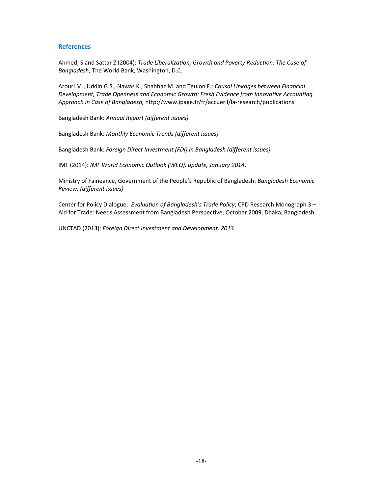## **References**

Ahmed, S and Sattar Z (2004): *Trade Liberalization, Growth and Poverty Reduction: The Case of Bangladesh;* The World Bank, Washington, D.C.

Arouri M., Uddin G.S., Nawas K., Shahbaz M. and Teulon F.: *Causal Linkages between Financial Development, Trade Openness and Economic Growth: Fresh Evidence from Innovative Accounting Approach in Case of Bangladesh,* http://www.ipage.fr/fr/accueril/la-research/publications

Bangladesh Bank: *Annual Report (different issues)*

Bangladesh Bank: *Monthly Economic Trends (different issues)*

Bangladesh Bank: *Foreign Direct Investment (FDI) in Bangladesh (different issues)*

IMF (2014): *IMF World Economic Outlook (WEO), update, January 2014*.

Ministry of Faineance, Government of the People's Republic of Bangladesh: *Bangladesh Economic Review, (different issues)*

Center for Policy Dialogue: *Evaluation of Bangladesh's Trade Policy*; CPD Research Monograph 3 – Aid for Trade: Needs Assessment from Bangladesh Perspective, October 2009, Dhaka, Bangladesh

UNCTAD (2013): *Foreign Direct Investment and Development, 2013*.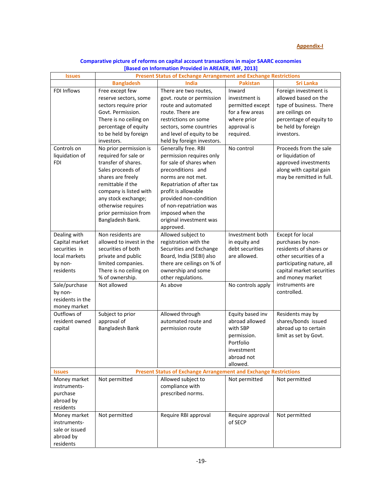## **Appendix-I**

| Comparative picture of reforms on capital account transactions in major SAARC economies |  |
|-----------------------------------------------------------------------------------------|--|
| [Based on Information Provided in AREAER, IMF, 2013]                                    |  |

| <b>Bangladesh</b><br><b>Sri Lanka</b><br>India<br><b>Pakistan</b><br>FDI Inflows<br>Free except few<br>Inward<br>Foreign investment is<br>There are two routes,<br>allowed based on the<br>govt. route or permission<br>investment is<br>reserve sectors, some<br>route and automated<br>type of business. There<br>permitted except<br>sectors require prior<br>route. There are<br>for a few areas<br>are ceilings on<br>Govt. Permission.<br>percentage of equity to<br>There is no ceiling on<br>restrictions on some<br>where prior<br>percentage of equity<br>approval is<br>be held by foreign<br>sectors, some countries<br>required.<br>to be held by foreign<br>and level of equity to be<br>investors.<br>held by foreign investors.<br>investors.<br>No prior permission is<br>Generally free. RBI<br>No control<br>Proceeds from the sale<br>Controls on<br>liquidation of<br>required for sale or<br>permission requires only<br>or liquidation of<br><b>FDI</b><br>transfer of shares.<br>for sale of shares when<br>approved investments<br>Sales proceeds of<br>preconditions and<br>along with capital gain<br>shares are freely<br>may be remitted in full.<br>norms are not met.<br>remittable if the<br>Repatriation of after tax<br>company is listed with<br>profit is allowable<br>any stock exchange;<br>provided non-condition<br>otherwise requires<br>of non-repatriation was<br>prior permission from<br>imposed when the<br>Bangladesh Bank.<br>original investment was<br>approved.<br>Dealing with<br>Non residents are<br>Allowed subject to<br><b>Except for local</b><br>Investment both<br>allowed to invest in the<br>registration with the<br>purchases by non-<br>Capital market<br>in equity and<br>debt securities<br>residents of shares or<br>securities in<br>securities of both<br>Securities and Exchange<br>Board, India (SEBI) also<br>are allowed.<br>other securities of a<br>local markets<br>private and public<br>limited companies.<br>there are ceilings on % of<br>by non-<br>participating nature, all<br>residents<br>There is no ceiling on<br>ownership and some<br>capital market securities<br>% of ownership.<br>other regulations.<br>and money market<br>instruments are<br>Sale/purchase<br>Not allowed<br>No controls apply<br>As above<br>controlled.<br>by non-<br>residents in the<br>money market<br>Outflows of<br>Equity based inv<br>Subject to prior<br>Allowed through<br>Residents may by<br>resident owned<br>approval of<br>automated route and<br>abroad allowed<br>shares/bonds issued<br><b>Bangladesh Bank</b><br>abroad up to certain<br>capital<br>permission route<br>with SBP<br>limit as set by Govt.<br>permission.<br>Portfolio<br>investment<br>abroad not<br>allowed.<br><b>Present Status of Exchange Arrangement and Exchange Restrictions</b><br><b>Issues</b><br>Allowed subject to<br>Not permitted<br>Not permitted<br>Not permitted<br>Money market<br>compliance with<br>instruments-<br>prescribed norms.<br>purchase<br>abroad by<br>residents<br>Money market<br>Require RBI approval<br>Not permitted<br>Require approval<br>Not permitted<br>of SECP<br>instruments-<br>sale or issued | <b>Issues</b> | <b>Present Status of Exchange Arrangement and Exchange Restrictions</b> |  |  |  |  |  |
|-------------------------------------------------------------------------------------------------------------------------------------------------------------------------------------------------------------------------------------------------------------------------------------------------------------------------------------------------------------------------------------------------------------------------------------------------------------------------------------------------------------------------------------------------------------------------------------------------------------------------------------------------------------------------------------------------------------------------------------------------------------------------------------------------------------------------------------------------------------------------------------------------------------------------------------------------------------------------------------------------------------------------------------------------------------------------------------------------------------------------------------------------------------------------------------------------------------------------------------------------------------------------------------------------------------------------------------------------------------------------------------------------------------------------------------------------------------------------------------------------------------------------------------------------------------------------------------------------------------------------------------------------------------------------------------------------------------------------------------------------------------------------------------------------------------------------------------------------------------------------------------------------------------------------------------------------------------------------------------------------------------------------------------------------------------------------------------------------------------------------------------------------------------------------------------------------------------------------------------------------------------------------------------------------------------------------------------------------------------------------------------------------------------------------------------------------------------------------------------------------------------------------------------------------------------------------------------------------------------------------------------------------------------------------------------------------------------------------------------------------------------------------------------------------------------------------------------------------------------------------------------------------------------------------------------------------------------------------------------------------------------------------------------------------------------------------------------------------------------------------------------------------------------------------------------------------|---------------|-------------------------------------------------------------------------|--|--|--|--|--|
|                                                                                                                                                                                                                                                                                                                                                                                                                                                                                                                                                                                                                                                                                                                                                                                                                                                                                                                                                                                                                                                                                                                                                                                                                                                                                                                                                                                                                                                                                                                                                                                                                                                                                                                                                                                                                                                                                                                                                                                                                                                                                                                                                                                                                                                                                                                                                                                                                                                                                                                                                                                                                                                                                                                                                                                                                                                                                                                                                                                                                                                                                                                                                                                                 |               |                                                                         |  |  |  |  |  |
|                                                                                                                                                                                                                                                                                                                                                                                                                                                                                                                                                                                                                                                                                                                                                                                                                                                                                                                                                                                                                                                                                                                                                                                                                                                                                                                                                                                                                                                                                                                                                                                                                                                                                                                                                                                                                                                                                                                                                                                                                                                                                                                                                                                                                                                                                                                                                                                                                                                                                                                                                                                                                                                                                                                                                                                                                                                                                                                                                                                                                                                                                                                                                                                                 |               |                                                                         |  |  |  |  |  |
|                                                                                                                                                                                                                                                                                                                                                                                                                                                                                                                                                                                                                                                                                                                                                                                                                                                                                                                                                                                                                                                                                                                                                                                                                                                                                                                                                                                                                                                                                                                                                                                                                                                                                                                                                                                                                                                                                                                                                                                                                                                                                                                                                                                                                                                                                                                                                                                                                                                                                                                                                                                                                                                                                                                                                                                                                                                                                                                                                                                                                                                                                                                                                                                                 |               |                                                                         |  |  |  |  |  |
|                                                                                                                                                                                                                                                                                                                                                                                                                                                                                                                                                                                                                                                                                                                                                                                                                                                                                                                                                                                                                                                                                                                                                                                                                                                                                                                                                                                                                                                                                                                                                                                                                                                                                                                                                                                                                                                                                                                                                                                                                                                                                                                                                                                                                                                                                                                                                                                                                                                                                                                                                                                                                                                                                                                                                                                                                                                                                                                                                                                                                                                                                                                                                                                                 |               |                                                                         |  |  |  |  |  |
|                                                                                                                                                                                                                                                                                                                                                                                                                                                                                                                                                                                                                                                                                                                                                                                                                                                                                                                                                                                                                                                                                                                                                                                                                                                                                                                                                                                                                                                                                                                                                                                                                                                                                                                                                                                                                                                                                                                                                                                                                                                                                                                                                                                                                                                                                                                                                                                                                                                                                                                                                                                                                                                                                                                                                                                                                                                                                                                                                                                                                                                                                                                                                                                                 |               |                                                                         |  |  |  |  |  |
|                                                                                                                                                                                                                                                                                                                                                                                                                                                                                                                                                                                                                                                                                                                                                                                                                                                                                                                                                                                                                                                                                                                                                                                                                                                                                                                                                                                                                                                                                                                                                                                                                                                                                                                                                                                                                                                                                                                                                                                                                                                                                                                                                                                                                                                                                                                                                                                                                                                                                                                                                                                                                                                                                                                                                                                                                                                                                                                                                                                                                                                                                                                                                                                                 |               |                                                                         |  |  |  |  |  |
|                                                                                                                                                                                                                                                                                                                                                                                                                                                                                                                                                                                                                                                                                                                                                                                                                                                                                                                                                                                                                                                                                                                                                                                                                                                                                                                                                                                                                                                                                                                                                                                                                                                                                                                                                                                                                                                                                                                                                                                                                                                                                                                                                                                                                                                                                                                                                                                                                                                                                                                                                                                                                                                                                                                                                                                                                                                                                                                                                                                                                                                                                                                                                                                                 |               |                                                                         |  |  |  |  |  |
|                                                                                                                                                                                                                                                                                                                                                                                                                                                                                                                                                                                                                                                                                                                                                                                                                                                                                                                                                                                                                                                                                                                                                                                                                                                                                                                                                                                                                                                                                                                                                                                                                                                                                                                                                                                                                                                                                                                                                                                                                                                                                                                                                                                                                                                                                                                                                                                                                                                                                                                                                                                                                                                                                                                                                                                                                                                                                                                                                                                                                                                                                                                                                                                                 |               |                                                                         |  |  |  |  |  |
|                                                                                                                                                                                                                                                                                                                                                                                                                                                                                                                                                                                                                                                                                                                                                                                                                                                                                                                                                                                                                                                                                                                                                                                                                                                                                                                                                                                                                                                                                                                                                                                                                                                                                                                                                                                                                                                                                                                                                                                                                                                                                                                                                                                                                                                                                                                                                                                                                                                                                                                                                                                                                                                                                                                                                                                                                                                                                                                                                                                                                                                                                                                                                                                                 |               |                                                                         |  |  |  |  |  |
|                                                                                                                                                                                                                                                                                                                                                                                                                                                                                                                                                                                                                                                                                                                                                                                                                                                                                                                                                                                                                                                                                                                                                                                                                                                                                                                                                                                                                                                                                                                                                                                                                                                                                                                                                                                                                                                                                                                                                                                                                                                                                                                                                                                                                                                                                                                                                                                                                                                                                                                                                                                                                                                                                                                                                                                                                                                                                                                                                                                                                                                                                                                                                                                                 |               |                                                                         |  |  |  |  |  |
|                                                                                                                                                                                                                                                                                                                                                                                                                                                                                                                                                                                                                                                                                                                                                                                                                                                                                                                                                                                                                                                                                                                                                                                                                                                                                                                                                                                                                                                                                                                                                                                                                                                                                                                                                                                                                                                                                                                                                                                                                                                                                                                                                                                                                                                                                                                                                                                                                                                                                                                                                                                                                                                                                                                                                                                                                                                                                                                                                                                                                                                                                                                                                                                                 |               |                                                                         |  |  |  |  |  |
|                                                                                                                                                                                                                                                                                                                                                                                                                                                                                                                                                                                                                                                                                                                                                                                                                                                                                                                                                                                                                                                                                                                                                                                                                                                                                                                                                                                                                                                                                                                                                                                                                                                                                                                                                                                                                                                                                                                                                                                                                                                                                                                                                                                                                                                                                                                                                                                                                                                                                                                                                                                                                                                                                                                                                                                                                                                                                                                                                                                                                                                                                                                                                                                                 |               |                                                                         |  |  |  |  |  |
|                                                                                                                                                                                                                                                                                                                                                                                                                                                                                                                                                                                                                                                                                                                                                                                                                                                                                                                                                                                                                                                                                                                                                                                                                                                                                                                                                                                                                                                                                                                                                                                                                                                                                                                                                                                                                                                                                                                                                                                                                                                                                                                                                                                                                                                                                                                                                                                                                                                                                                                                                                                                                                                                                                                                                                                                                                                                                                                                                                                                                                                                                                                                                                                                 |               |                                                                         |  |  |  |  |  |
|                                                                                                                                                                                                                                                                                                                                                                                                                                                                                                                                                                                                                                                                                                                                                                                                                                                                                                                                                                                                                                                                                                                                                                                                                                                                                                                                                                                                                                                                                                                                                                                                                                                                                                                                                                                                                                                                                                                                                                                                                                                                                                                                                                                                                                                                                                                                                                                                                                                                                                                                                                                                                                                                                                                                                                                                                                                                                                                                                                                                                                                                                                                                                                                                 |               |                                                                         |  |  |  |  |  |
|                                                                                                                                                                                                                                                                                                                                                                                                                                                                                                                                                                                                                                                                                                                                                                                                                                                                                                                                                                                                                                                                                                                                                                                                                                                                                                                                                                                                                                                                                                                                                                                                                                                                                                                                                                                                                                                                                                                                                                                                                                                                                                                                                                                                                                                                                                                                                                                                                                                                                                                                                                                                                                                                                                                                                                                                                                                                                                                                                                                                                                                                                                                                                                                                 |               |                                                                         |  |  |  |  |  |
|                                                                                                                                                                                                                                                                                                                                                                                                                                                                                                                                                                                                                                                                                                                                                                                                                                                                                                                                                                                                                                                                                                                                                                                                                                                                                                                                                                                                                                                                                                                                                                                                                                                                                                                                                                                                                                                                                                                                                                                                                                                                                                                                                                                                                                                                                                                                                                                                                                                                                                                                                                                                                                                                                                                                                                                                                                                                                                                                                                                                                                                                                                                                                                                                 |               |                                                                         |  |  |  |  |  |
|                                                                                                                                                                                                                                                                                                                                                                                                                                                                                                                                                                                                                                                                                                                                                                                                                                                                                                                                                                                                                                                                                                                                                                                                                                                                                                                                                                                                                                                                                                                                                                                                                                                                                                                                                                                                                                                                                                                                                                                                                                                                                                                                                                                                                                                                                                                                                                                                                                                                                                                                                                                                                                                                                                                                                                                                                                                                                                                                                                                                                                                                                                                                                                                                 |               |                                                                         |  |  |  |  |  |
|                                                                                                                                                                                                                                                                                                                                                                                                                                                                                                                                                                                                                                                                                                                                                                                                                                                                                                                                                                                                                                                                                                                                                                                                                                                                                                                                                                                                                                                                                                                                                                                                                                                                                                                                                                                                                                                                                                                                                                                                                                                                                                                                                                                                                                                                                                                                                                                                                                                                                                                                                                                                                                                                                                                                                                                                                                                                                                                                                                                                                                                                                                                                                                                                 |               |                                                                         |  |  |  |  |  |
|                                                                                                                                                                                                                                                                                                                                                                                                                                                                                                                                                                                                                                                                                                                                                                                                                                                                                                                                                                                                                                                                                                                                                                                                                                                                                                                                                                                                                                                                                                                                                                                                                                                                                                                                                                                                                                                                                                                                                                                                                                                                                                                                                                                                                                                                                                                                                                                                                                                                                                                                                                                                                                                                                                                                                                                                                                                                                                                                                                                                                                                                                                                                                                                                 |               |                                                                         |  |  |  |  |  |
|                                                                                                                                                                                                                                                                                                                                                                                                                                                                                                                                                                                                                                                                                                                                                                                                                                                                                                                                                                                                                                                                                                                                                                                                                                                                                                                                                                                                                                                                                                                                                                                                                                                                                                                                                                                                                                                                                                                                                                                                                                                                                                                                                                                                                                                                                                                                                                                                                                                                                                                                                                                                                                                                                                                                                                                                                                                                                                                                                                                                                                                                                                                                                                                                 |               |                                                                         |  |  |  |  |  |
|                                                                                                                                                                                                                                                                                                                                                                                                                                                                                                                                                                                                                                                                                                                                                                                                                                                                                                                                                                                                                                                                                                                                                                                                                                                                                                                                                                                                                                                                                                                                                                                                                                                                                                                                                                                                                                                                                                                                                                                                                                                                                                                                                                                                                                                                                                                                                                                                                                                                                                                                                                                                                                                                                                                                                                                                                                                                                                                                                                                                                                                                                                                                                                                                 |               |                                                                         |  |  |  |  |  |
|                                                                                                                                                                                                                                                                                                                                                                                                                                                                                                                                                                                                                                                                                                                                                                                                                                                                                                                                                                                                                                                                                                                                                                                                                                                                                                                                                                                                                                                                                                                                                                                                                                                                                                                                                                                                                                                                                                                                                                                                                                                                                                                                                                                                                                                                                                                                                                                                                                                                                                                                                                                                                                                                                                                                                                                                                                                                                                                                                                                                                                                                                                                                                                                                 |               |                                                                         |  |  |  |  |  |
|                                                                                                                                                                                                                                                                                                                                                                                                                                                                                                                                                                                                                                                                                                                                                                                                                                                                                                                                                                                                                                                                                                                                                                                                                                                                                                                                                                                                                                                                                                                                                                                                                                                                                                                                                                                                                                                                                                                                                                                                                                                                                                                                                                                                                                                                                                                                                                                                                                                                                                                                                                                                                                                                                                                                                                                                                                                                                                                                                                                                                                                                                                                                                                                                 |               |                                                                         |  |  |  |  |  |
|                                                                                                                                                                                                                                                                                                                                                                                                                                                                                                                                                                                                                                                                                                                                                                                                                                                                                                                                                                                                                                                                                                                                                                                                                                                                                                                                                                                                                                                                                                                                                                                                                                                                                                                                                                                                                                                                                                                                                                                                                                                                                                                                                                                                                                                                                                                                                                                                                                                                                                                                                                                                                                                                                                                                                                                                                                                                                                                                                                                                                                                                                                                                                                                                 |               |                                                                         |  |  |  |  |  |
|                                                                                                                                                                                                                                                                                                                                                                                                                                                                                                                                                                                                                                                                                                                                                                                                                                                                                                                                                                                                                                                                                                                                                                                                                                                                                                                                                                                                                                                                                                                                                                                                                                                                                                                                                                                                                                                                                                                                                                                                                                                                                                                                                                                                                                                                                                                                                                                                                                                                                                                                                                                                                                                                                                                                                                                                                                                                                                                                                                                                                                                                                                                                                                                                 |               |                                                                         |  |  |  |  |  |
|                                                                                                                                                                                                                                                                                                                                                                                                                                                                                                                                                                                                                                                                                                                                                                                                                                                                                                                                                                                                                                                                                                                                                                                                                                                                                                                                                                                                                                                                                                                                                                                                                                                                                                                                                                                                                                                                                                                                                                                                                                                                                                                                                                                                                                                                                                                                                                                                                                                                                                                                                                                                                                                                                                                                                                                                                                                                                                                                                                                                                                                                                                                                                                                                 |               |                                                                         |  |  |  |  |  |
|                                                                                                                                                                                                                                                                                                                                                                                                                                                                                                                                                                                                                                                                                                                                                                                                                                                                                                                                                                                                                                                                                                                                                                                                                                                                                                                                                                                                                                                                                                                                                                                                                                                                                                                                                                                                                                                                                                                                                                                                                                                                                                                                                                                                                                                                                                                                                                                                                                                                                                                                                                                                                                                                                                                                                                                                                                                                                                                                                                                                                                                                                                                                                                                                 |               |                                                                         |  |  |  |  |  |
|                                                                                                                                                                                                                                                                                                                                                                                                                                                                                                                                                                                                                                                                                                                                                                                                                                                                                                                                                                                                                                                                                                                                                                                                                                                                                                                                                                                                                                                                                                                                                                                                                                                                                                                                                                                                                                                                                                                                                                                                                                                                                                                                                                                                                                                                                                                                                                                                                                                                                                                                                                                                                                                                                                                                                                                                                                                                                                                                                                                                                                                                                                                                                                                                 |               |                                                                         |  |  |  |  |  |
|                                                                                                                                                                                                                                                                                                                                                                                                                                                                                                                                                                                                                                                                                                                                                                                                                                                                                                                                                                                                                                                                                                                                                                                                                                                                                                                                                                                                                                                                                                                                                                                                                                                                                                                                                                                                                                                                                                                                                                                                                                                                                                                                                                                                                                                                                                                                                                                                                                                                                                                                                                                                                                                                                                                                                                                                                                                                                                                                                                                                                                                                                                                                                                                                 |               |                                                                         |  |  |  |  |  |
|                                                                                                                                                                                                                                                                                                                                                                                                                                                                                                                                                                                                                                                                                                                                                                                                                                                                                                                                                                                                                                                                                                                                                                                                                                                                                                                                                                                                                                                                                                                                                                                                                                                                                                                                                                                                                                                                                                                                                                                                                                                                                                                                                                                                                                                                                                                                                                                                                                                                                                                                                                                                                                                                                                                                                                                                                                                                                                                                                                                                                                                                                                                                                                                                 |               |                                                                         |  |  |  |  |  |
|                                                                                                                                                                                                                                                                                                                                                                                                                                                                                                                                                                                                                                                                                                                                                                                                                                                                                                                                                                                                                                                                                                                                                                                                                                                                                                                                                                                                                                                                                                                                                                                                                                                                                                                                                                                                                                                                                                                                                                                                                                                                                                                                                                                                                                                                                                                                                                                                                                                                                                                                                                                                                                                                                                                                                                                                                                                                                                                                                                                                                                                                                                                                                                                                 |               |                                                                         |  |  |  |  |  |
|                                                                                                                                                                                                                                                                                                                                                                                                                                                                                                                                                                                                                                                                                                                                                                                                                                                                                                                                                                                                                                                                                                                                                                                                                                                                                                                                                                                                                                                                                                                                                                                                                                                                                                                                                                                                                                                                                                                                                                                                                                                                                                                                                                                                                                                                                                                                                                                                                                                                                                                                                                                                                                                                                                                                                                                                                                                                                                                                                                                                                                                                                                                                                                                                 |               |                                                                         |  |  |  |  |  |
|                                                                                                                                                                                                                                                                                                                                                                                                                                                                                                                                                                                                                                                                                                                                                                                                                                                                                                                                                                                                                                                                                                                                                                                                                                                                                                                                                                                                                                                                                                                                                                                                                                                                                                                                                                                                                                                                                                                                                                                                                                                                                                                                                                                                                                                                                                                                                                                                                                                                                                                                                                                                                                                                                                                                                                                                                                                                                                                                                                                                                                                                                                                                                                                                 |               |                                                                         |  |  |  |  |  |
|                                                                                                                                                                                                                                                                                                                                                                                                                                                                                                                                                                                                                                                                                                                                                                                                                                                                                                                                                                                                                                                                                                                                                                                                                                                                                                                                                                                                                                                                                                                                                                                                                                                                                                                                                                                                                                                                                                                                                                                                                                                                                                                                                                                                                                                                                                                                                                                                                                                                                                                                                                                                                                                                                                                                                                                                                                                                                                                                                                                                                                                                                                                                                                                                 |               |                                                                         |  |  |  |  |  |
|                                                                                                                                                                                                                                                                                                                                                                                                                                                                                                                                                                                                                                                                                                                                                                                                                                                                                                                                                                                                                                                                                                                                                                                                                                                                                                                                                                                                                                                                                                                                                                                                                                                                                                                                                                                                                                                                                                                                                                                                                                                                                                                                                                                                                                                                                                                                                                                                                                                                                                                                                                                                                                                                                                                                                                                                                                                                                                                                                                                                                                                                                                                                                                                                 |               |                                                                         |  |  |  |  |  |
|                                                                                                                                                                                                                                                                                                                                                                                                                                                                                                                                                                                                                                                                                                                                                                                                                                                                                                                                                                                                                                                                                                                                                                                                                                                                                                                                                                                                                                                                                                                                                                                                                                                                                                                                                                                                                                                                                                                                                                                                                                                                                                                                                                                                                                                                                                                                                                                                                                                                                                                                                                                                                                                                                                                                                                                                                                                                                                                                                                                                                                                                                                                                                                                                 |               |                                                                         |  |  |  |  |  |
|                                                                                                                                                                                                                                                                                                                                                                                                                                                                                                                                                                                                                                                                                                                                                                                                                                                                                                                                                                                                                                                                                                                                                                                                                                                                                                                                                                                                                                                                                                                                                                                                                                                                                                                                                                                                                                                                                                                                                                                                                                                                                                                                                                                                                                                                                                                                                                                                                                                                                                                                                                                                                                                                                                                                                                                                                                                                                                                                                                                                                                                                                                                                                                                                 |               |                                                                         |  |  |  |  |  |
|                                                                                                                                                                                                                                                                                                                                                                                                                                                                                                                                                                                                                                                                                                                                                                                                                                                                                                                                                                                                                                                                                                                                                                                                                                                                                                                                                                                                                                                                                                                                                                                                                                                                                                                                                                                                                                                                                                                                                                                                                                                                                                                                                                                                                                                                                                                                                                                                                                                                                                                                                                                                                                                                                                                                                                                                                                                                                                                                                                                                                                                                                                                                                                                                 |               |                                                                         |  |  |  |  |  |
|                                                                                                                                                                                                                                                                                                                                                                                                                                                                                                                                                                                                                                                                                                                                                                                                                                                                                                                                                                                                                                                                                                                                                                                                                                                                                                                                                                                                                                                                                                                                                                                                                                                                                                                                                                                                                                                                                                                                                                                                                                                                                                                                                                                                                                                                                                                                                                                                                                                                                                                                                                                                                                                                                                                                                                                                                                                                                                                                                                                                                                                                                                                                                                                                 |               |                                                                         |  |  |  |  |  |
|                                                                                                                                                                                                                                                                                                                                                                                                                                                                                                                                                                                                                                                                                                                                                                                                                                                                                                                                                                                                                                                                                                                                                                                                                                                                                                                                                                                                                                                                                                                                                                                                                                                                                                                                                                                                                                                                                                                                                                                                                                                                                                                                                                                                                                                                                                                                                                                                                                                                                                                                                                                                                                                                                                                                                                                                                                                                                                                                                                                                                                                                                                                                                                                                 |               |                                                                         |  |  |  |  |  |
|                                                                                                                                                                                                                                                                                                                                                                                                                                                                                                                                                                                                                                                                                                                                                                                                                                                                                                                                                                                                                                                                                                                                                                                                                                                                                                                                                                                                                                                                                                                                                                                                                                                                                                                                                                                                                                                                                                                                                                                                                                                                                                                                                                                                                                                                                                                                                                                                                                                                                                                                                                                                                                                                                                                                                                                                                                                                                                                                                                                                                                                                                                                                                                                                 |               |                                                                         |  |  |  |  |  |
|                                                                                                                                                                                                                                                                                                                                                                                                                                                                                                                                                                                                                                                                                                                                                                                                                                                                                                                                                                                                                                                                                                                                                                                                                                                                                                                                                                                                                                                                                                                                                                                                                                                                                                                                                                                                                                                                                                                                                                                                                                                                                                                                                                                                                                                                                                                                                                                                                                                                                                                                                                                                                                                                                                                                                                                                                                                                                                                                                                                                                                                                                                                                                                                                 |               |                                                                         |  |  |  |  |  |
|                                                                                                                                                                                                                                                                                                                                                                                                                                                                                                                                                                                                                                                                                                                                                                                                                                                                                                                                                                                                                                                                                                                                                                                                                                                                                                                                                                                                                                                                                                                                                                                                                                                                                                                                                                                                                                                                                                                                                                                                                                                                                                                                                                                                                                                                                                                                                                                                                                                                                                                                                                                                                                                                                                                                                                                                                                                                                                                                                                                                                                                                                                                                                                                                 |               |                                                                         |  |  |  |  |  |
|                                                                                                                                                                                                                                                                                                                                                                                                                                                                                                                                                                                                                                                                                                                                                                                                                                                                                                                                                                                                                                                                                                                                                                                                                                                                                                                                                                                                                                                                                                                                                                                                                                                                                                                                                                                                                                                                                                                                                                                                                                                                                                                                                                                                                                                                                                                                                                                                                                                                                                                                                                                                                                                                                                                                                                                                                                                                                                                                                                                                                                                                                                                                                                                                 |               |                                                                         |  |  |  |  |  |
|                                                                                                                                                                                                                                                                                                                                                                                                                                                                                                                                                                                                                                                                                                                                                                                                                                                                                                                                                                                                                                                                                                                                                                                                                                                                                                                                                                                                                                                                                                                                                                                                                                                                                                                                                                                                                                                                                                                                                                                                                                                                                                                                                                                                                                                                                                                                                                                                                                                                                                                                                                                                                                                                                                                                                                                                                                                                                                                                                                                                                                                                                                                                                                                                 |               |                                                                         |  |  |  |  |  |
|                                                                                                                                                                                                                                                                                                                                                                                                                                                                                                                                                                                                                                                                                                                                                                                                                                                                                                                                                                                                                                                                                                                                                                                                                                                                                                                                                                                                                                                                                                                                                                                                                                                                                                                                                                                                                                                                                                                                                                                                                                                                                                                                                                                                                                                                                                                                                                                                                                                                                                                                                                                                                                                                                                                                                                                                                                                                                                                                                                                                                                                                                                                                                                                                 |               |                                                                         |  |  |  |  |  |
|                                                                                                                                                                                                                                                                                                                                                                                                                                                                                                                                                                                                                                                                                                                                                                                                                                                                                                                                                                                                                                                                                                                                                                                                                                                                                                                                                                                                                                                                                                                                                                                                                                                                                                                                                                                                                                                                                                                                                                                                                                                                                                                                                                                                                                                                                                                                                                                                                                                                                                                                                                                                                                                                                                                                                                                                                                                                                                                                                                                                                                                                                                                                                                                                 |               |                                                                         |  |  |  |  |  |
|                                                                                                                                                                                                                                                                                                                                                                                                                                                                                                                                                                                                                                                                                                                                                                                                                                                                                                                                                                                                                                                                                                                                                                                                                                                                                                                                                                                                                                                                                                                                                                                                                                                                                                                                                                                                                                                                                                                                                                                                                                                                                                                                                                                                                                                                                                                                                                                                                                                                                                                                                                                                                                                                                                                                                                                                                                                                                                                                                                                                                                                                                                                                                                                                 |               |                                                                         |  |  |  |  |  |
|                                                                                                                                                                                                                                                                                                                                                                                                                                                                                                                                                                                                                                                                                                                                                                                                                                                                                                                                                                                                                                                                                                                                                                                                                                                                                                                                                                                                                                                                                                                                                                                                                                                                                                                                                                                                                                                                                                                                                                                                                                                                                                                                                                                                                                                                                                                                                                                                                                                                                                                                                                                                                                                                                                                                                                                                                                                                                                                                                                                                                                                                                                                                                                                                 | abroad by     |                                                                         |  |  |  |  |  |
| residents                                                                                                                                                                                                                                                                                                                                                                                                                                                                                                                                                                                                                                                                                                                                                                                                                                                                                                                                                                                                                                                                                                                                                                                                                                                                                                                                                                                                                                                                                                                                                                                                                                                                                                                                                                                                                                                                                                                                                                                                                                                                                                                                                                                                                                                                                                                                                                                                                                                                                                                                                                                                                                                                                                                                                                                                                                                                                                                                                                                                                                                                                                                                                                                       |               |                                                                         |  |  |  |  |  |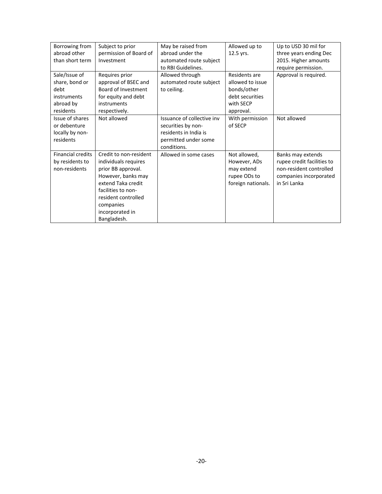| Borrowing from           | Subject to prior       | May be raised from         | Allowed up to      | Up to USD 30 mil for       |
|--------------------------|------------------------|----------------------------|--------------------|----------------------------|
| abroad other             | permission of Board of | abroad under the           | 12.5 yrs.          | three years ending Dec     |
| than short term          | Investment             | automated route subject    |                    | 2015. Higher amounts       |
|                          |                        | to RBI Guidelines.         |                    | require permission.        |
| Sale/Issue of            | Requires prior         | Allowed through            | Residents are      | Approval is required.      |
| share, bond or           | approval of BSEC and   | automated route subject    | allowed to issue   |                            |
| debt                     | Board of Investment    | to ceiling.                | bonds/other        |                            |
| instruments              | for equity and debt    |                            | debt securities    |                            |
| abroad by                | instruments            |                            | with SECP          |                            |
| residents                | respectively.          |                            | approval.          |                            |
| Issue of shares          | Not allowed            | Issuance of collective inv | With permission    | Not allowed                |
| or debenture             |                        | securities by non-         | of SECP            |                            |
| locally by non-          |                        | residents in India is      |                    |                            |
| residents                |                        | permitted under some       |                    |                            |
|                          |                        | conditions.                |                    |                            |
| <b>Financial credits</b> | Credit to non-resident | Allowed in some cases      | Not allowed,       | Banks may extends          |
| by residents to          | individuals requires   |                            | However, ADs       | rupee credit facilities to |
| non-residents            | prior BB approval.     |                            | may extend         | non-resident controlled    |
|                          | However, banks may     |                            | rupee ODs to       | companies incorporated     |
|                          | extend Taka credit     |                            | foreign nationals. | in Sri Lanka               |
|                          | facilities to non-     |                            |                    |                            |
|                          | resident controlled    |                            |                    |                            |
|                          | companies              |                            |                    |                            |
|                          | incorporated in        |                            |                    |                            |
|                          | Bangladesh.            |                            |                    |                            |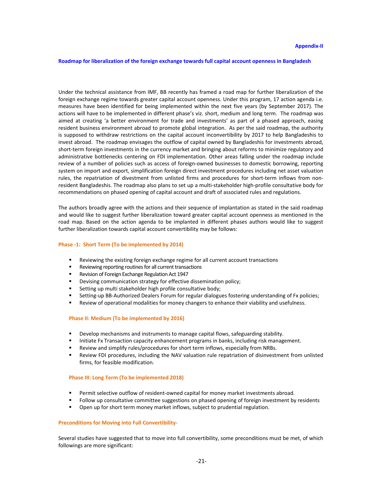**Roadmap for liberalization of the foreign exchange towards full capital account openness in Bangladesh** 

Under the technical assistance from IMF, BB recently has framed a road map for further liberalization of the foreign exchange regime towards greater capital account openness. Under this program, 17 action agenda i.e. measures have been identified for being implemented within the next five years (by September 2017). The actions will have to be implemented in different phase's viz. short, medium and long term. The roadmap was aimed at creating 'a better environment for trade and investments' as part of a phased approach, easing resident business environment abroad to promote global integration. As per the said roadmap, the authority is supposed to withdraw restrictions on the capital account inconvertibility by 2017 to help Bangladeshis to invest abroad. The roadmap envisages the outflow of capital owned by Bangladeshis for investments abroad, short-term foreign investments in the currency market and bringing about reforms to minimize regulatory and administrative bottlenecks centering on FDI implementation. Other areas falling under the roadmap include review of a number of policies such as access of foreign-owned businesses to domestic borrowing, reporting system on import and export, simplification foreign direct investment procedures including net asset valuation rules, the repatriation of divestment from unlisted firms and procedures for short-term inflows from nonresident Bangladeshis. The roadmap also plans to set up a multi-stakeholder high-profile consultative body for recommendations on phased opening of capital account and draft of associated rules and regulations.

The authors broadly agree with the actions and their sequence of implantation as stated in the said roadmap and would like to suggest further liberalization toward greater capital account openness as mentioned in the road map. Based on the action agenda to be implanted in different phases authors would like to suggest further liberalization towards capital account convertibility may be follows:

#### **Phase -1: Short Term (To be implemented by 2014)**

- Reviewing the existing foreign exchange regime for all current account transactions
- Reviewing reporting routines for all current transactions
- Revision of Foreign Exchange Regulation Act 1947
- Devising communication strategy for effective dissemination policy;
- Setting up multi stakeholder high profile consultative body;
- Setting-up BB-Authorized Dealers Forum for regular dialogues fostering understanding of Fx policies;
- Review of operational modalities for money changers to enhance their viability and usefulness.

#### **Phase II: Medium (To be implemented by 2016)**

- Develop mechanisms and instruments to manage capital flows, safeguarding stability.
- Initiate Fx Transaction capacity enhancement programs in banks, including risk management.
- Review and simplify rules/procedures for short term inflows, especially from NRBs.
- Review FDI procedures, including the NAV valuation rule repatriation of disinvestment from unlisted firms, for feasible modification.

#### **Phase III: Long Term (To be implemented 2018)**

- Permit selective outflow of resident-owned capital for money market investments abroad.
- Follow up consultative committee suggestions on phased opening of foreign investment by residents
- Open up for short term money market inflows, subject to prudential regulation.

#### **Preconditions for Moving into Full Convertibility-**

Several studies have suggested that to move into full convertibility, some preconditions must be met, of which followings are more significant: